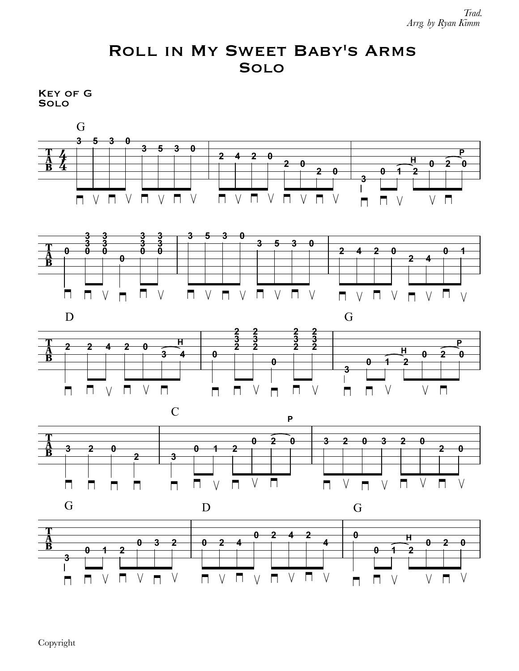## Roll in My Sweet Baby's Arms Solo

Key of G Solo